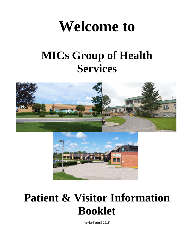# **Welcome to**

## **MICs Group of Health Services**





## **Patient & Visitor Information Booklet**

**(revised April 2018)**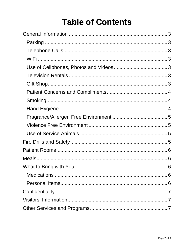### **Table of Contents**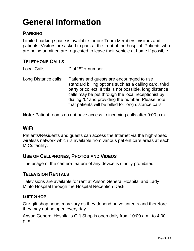### <span id="page-2-0"></span>**General Information**

#### <span id="page-2-1"></span>**PARKING**

Limited parking space is available for our Team Members, visitors and patients. Visitors are asked to park at the front of the hospital. Patients who are being admitted are requested to leave their vehicle at home if possible.

#### <span id="page-2-2"></span>**TELEPHONE CALLS**

| Local Calls:         | Dial "8" + number                                                                                                                                                                                                                                                                                                                   |
|----------------------|-------------------------------------------------------------------------------------------------------------------------------------------------------------------------------------------------------------------------------------------------------------------------------------------------------------------------------------|
| Long Distance calls: | Patients and guests are encouraged to use<br>standard billing options such as a calling card, third<br>party or collect. If this is not possible, long distance<br>calls may be put through the local receptionist by<br>dialing "0" and providing the number. Please note<br>that patients will be billed for long distance calls. |

**Note:** Patient rooms do not have access to incoming calls after 9:00 p.m.

#### <span id="page-2-3"></span>**WIFI**

Patients/Residents and guests can access the Internet via the high-speed wireless network which is available from various patient care areas at each MICs facility.

#### <span id="page-2-4"></span>**USE OF CELLPHONES, PHOTOS AND VIDEOS**

The usage of the camera feature of any device is strictly prohibited.

#### <span id="page-2-5"></span>**TELEVISION RENTALS**

Televisions are available for rent at Anson General Hospital and Lady Minto Hospital through the Hospital Reception Desk.

#### <span id="page-2-6"></span>**GIFT SHOP**

Our gift shop hours may vary as they depend on volunteers and therefore they may not be open every day.

Anson General Hospital's Gift Shop is open daily from 10:00 a.m. to 4:00 p.m.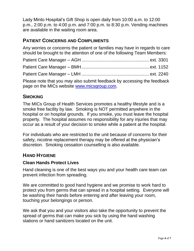Lady Minto Hospital's Gift Shop is open daily from 10:00 a.m. to 12:00 p.m., 2:00 p.m. to 4:00 p.m. and 7:00 p.m. to 8:30 p.m. Vending machines are available in the waiting room area.

#### <span id="page-3-0"></span>**PATIENT CONCERNS AND COMPLIMENTS**

Any worries or concerns the patient or families may have in regards to care should be brought to the attention of one of the following Team Members:

| Please note that you may also submit feedback by accessing the feedback<br>page on the MICs website www.micsgroup.com. |  |
|------------------------------------------------------------------------------------------------------------------------|--|

#### <span id="page-3-1"></span>**SMOKING**

The MICs Group of Health Services promotes a healthy lifestyle and is a smoke free facility by law. Smoking is NOT permitted anywhere in the hospital or on hospital grounds. If you smoke, you must leave the hospital property. The hospital assumes no responsibility for any injuries that may occur as a result of your decision to smoke while a patient at the hospital.

For individuals who are restricted to the unit because of concerns for their safety, nicotine replacement therapy may be offered at the physician's discretion. Smoking cessation counselling is also available.

#### <span id="page-3-2"></span>**HAND HYGIENE**

#### **Clean Hands Protect Lives**

Hand cleaning is one of the best ways you and your health care team can prevent infection from spreading.

We are committed to good hand hygiene and we promise to work hard to protect you from germs that can spread in a hospital setting. Everyone will be washing their hands before entering and after leaving your room, touching your belongings or person.

We ask that you and your visitors also take the opportunity to prevent the spread of germs that can make you sick by using the hand washing stations or hand sanitizers located on the unit.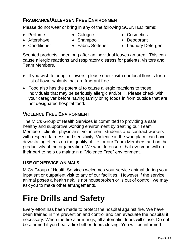#### <span id="page-4-0"></span>**FRAGRANCE/ALLERGEN FREE ENVIRONMENT**

Please do not wear or bring in any of the following SCENTED items:

- 
- Perfume Cologne Cosmetics
- 
- 
- Aftershave Shampoo Deodorant
- Conditioner Fabric Softener Laundry Detergent

Scented products linger long after an individual leaves an area. This can cause allergic reactions and respiratory distress for patients, visitors and Team Members.

- If you wish to bring in flowers, please check with our local florists for a list of flowers/plants that are fragrant free.
- Food also has the potential to cause allergic reactions to those individuals that may be seriously allergic and/or ill. Please check with your caregiver before having family bring foods in from outside that are not designated hospital food.

#### <span id="page-4-1"></span>**VIOLENCE FREE ENVIRONMENT**

The MICs Group of Health Services is committed to providing a safe, healthy and supportive working environment by treating our Team Members, clients, physicians, volunteers, students and contract workers with respect, fairness and sensitivity. Violence in the workplace can have devastating effects on the quality of life for our Team Members and on the productivity of the organization. We want to ensure that everyone will do their part to help us maintain a "Violence Free" environment.

#### <span id="page-4-2"></span>**USE OF SERVICE ANIMALS**

MICs Group of Health Services welcomes your service animal during your inpatient or outpatient visit to any of our facilities. However if the service animal poses a health risk, is not housebroken or is out of control, we may ask you to make other arrangements.

### **Fire Drills and Safety**

Every effort has been made to protect the hospital against fire. We have been trained in fire prevention and control and can evacuate the hospital if necessary. When the fire alarm rings, all automatic doors will close. Do not be alarmed if you hear a fire bell or doors closing. You will be informed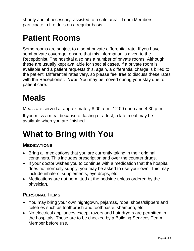shortly and, if necessary, assisted to a safe area. Team Members participate in fire drills on a regular basis.

### <span id="page-5-0"></span>**Patient Rooms**

Some rooms are subject to a semi-private differential rate. If you have semi-private coverage, ensure that this information is given to the Receptionist. The hospital also has a number of private rooms. Although these are usually kept available for special cases, if a private room is available and a patient requests this, again, a differential charge is billed to the patient. Differential rates vary, so please feel free to discuss these rates with the Receptionist. **Note**: You may be moved during your stay due to patient care.

### <span id="page-5-1"></span>**Meals**

Meals are served at approximately 8:00 a.m., 12:00 noon and 4:30 p.m.

If you miss a meal because of fasting or a test, a late meal may be available when you are finished.

### <span id="page-5-2"></span>**What to Bring with You**

#### <span id="page-5-3"></span>**MEDICATIONS**

- Bring all medications that you are currently taking in their original containers. This includes prescription and over the counter drugs.
- If your doctor wishes you to continue with a medication that the hospital does not normally supply, you may be asked to use your own. This may include inhalers, supplements, eye drops, etc.
- Medications are not permitted at the bedside unless ordered by the physician.

#### <span id="page-5-4"></span>**PERSONAL ITEMS**

- You may bring your own nightgown, pajamas, robe, shoes/slippers and toiletries such as toothbrush and toothpaste, shampoo, etc.
- No electrical appliances except razors and hair dryers are permitted in the hospitals. These are to be checked by a Building Services Team Member before use.